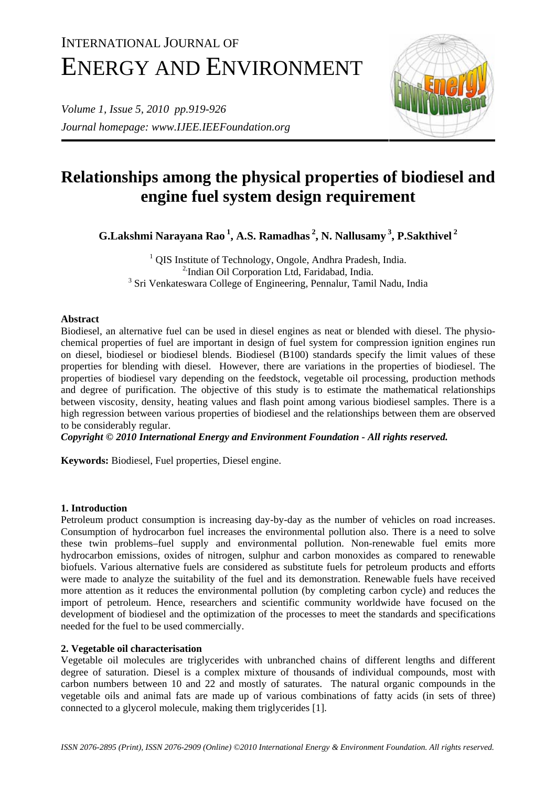# INTERNATIONAL JOURNAL OF ENERGY AND ENVIRONMENT

*Volume 1, Issue 5, 2010 pp.919-926 Journal homepage: www.IJEE.IEEFoundation.org* 



# **Relationships among the physical properties of biodiesel and engine fuel system design requirement**

**G.Lakshmi Narayana Rao 1, A.S. Ramadhas 2, N. Nallusamy 3, P.Sakthivel 2** 

<sup>1</sup> QIS Institute of Technology, Ongole, Andhra Pradesh, India. <sup>2</sup>/Indian Oil Corporation Ltd, Faridabad, India. <sup>3</sup> Sri Venkateswara College of Engineering, Pennalur, Tamil Nadu, India

# **Abstract**

Biodiesel, an alternative fuel can be used in diesel engines as neat or blended with diesel. The physiochemical properties of fuel are important in design of fuel system for compression ignition engines run on diesel, biodiesel or biodiesel blends. Biodiesel (B100) standards specify the limit values of these properties for blending with diesel. However, there are variations in the properties of biodiesel. The properties of biodiesel vary depending on the feedstock, vegetable oil processing, production methods and degree of purification. The objective of this study is to estimate the mathematical relationships between viscosity, density, heating values and flash point among various biodiesel samples. There is a high regression between various properties of biodiesel and the relationships between them are observed to be considerably regular.

*Copyright © 2010 International Energy and Environment Foundation - All rights reserved.*

**Keywords:** Biodiesel, Fuel properties, Diesel engine.

# **1. Introduction**

Petroleum product consumption is increasing day-by-day as the number of vehicles on road increases. Consumption of hydrocarbon fuel increases the environmental pollution also. There is a need to solve these twin problems–fuel supply and environmental pollution. Non-renewable fuel emits more hydrocarbon emissions, oxides of nitrogen, sulphur and carbon monoxides as compared to renewable biofuels. Various alternative fuels are considered as substitute fuels for petroleum products and efforts were made to analyze the suitability of the fuel and its demonstration. Renewable fuels have received more attention as it reduces the environmental pollution (by completing carbon cycle) and reduces the import of petroleum. Hence, researchers and scientific community worldwide have focused on the development of biodiesel and the optimization of the processes to meet the standards and specifications needed for the fuel to be used commercially.

# **2. Vegetable oil characterisation**

Vegetable oil molecules are triglycerides with unbranched chains of different lengths and different degree of saturation. Diesel is a complex mixture of thousands of individual compounds, most with carbon numbers between 10 and 22 and mostly of saturates. The natural organic compounds in the vegetable oils and animal fats are made up of various combinations of fatty acids (in sets of three) connected to a glycerol molecule, making them triglycerides [1].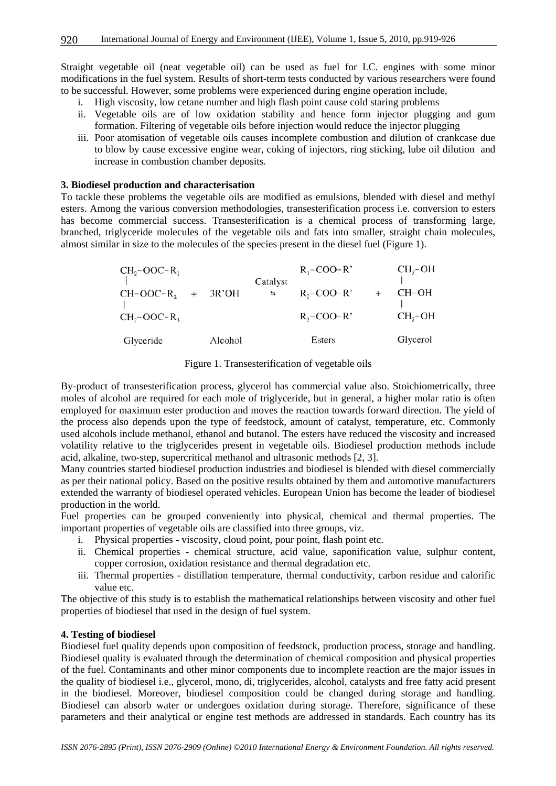Straight vegetable oil (neat vegetable oil) can be used as fuel for I.C. engines with some minor modifications in the fuel system. Results of short-term tests conducted by various researchers were found to be successful. However, some problems were experienced during engine operation include,

- i. High viscosity, low cetane number and high flash point cause cold staring problems
- ii. Vegetable oils are of low oxidation stability and hence form injector plugging and gum formation. Filtering of vegetable oils before injection would reduce the injector plugging
- iii. Poor atomisation of vegetable oils causes incomplete combustion and dilution of crankcase due to blow by cause excessive engine wear, coking of injectors, ring sticking, lube oil dilution and increase in combustion chamber deposits.

### **3. Biodiesel production and characterisation**

To tackle these problems the vegetable oils are modified as emulsions, blended with diesel and methyl esters. Among the various conversion methodologies, transesterification process i.e. conversion to esters has become commercial success. Transesterification is a chemical process of transforming large, branched, triglyceride molecules of the vegetable oils and fats into smaller, straight chain molecules, almost similar in size to the molecules of the species present in the diesel fuel (Figure 1).

| $CH2-OOC-R1$              |         | Catalyst | $R_1$ –COO–R'    | $CH2-OH$ |
|---------------------------|---------|----------|------------------|----------|
| $CH-OOC-R$ <sub>2</sub> + | 3R'OH   | $=$      | $R_2$ –COO– $R'$ | CH-OH    |
| $CH2-OOC-R3$              |         |          | $R_3$ –COO–R'    | $CH2-OH$ |
| Glyceride                 | Alcohol |          | Esters           | Glycerol |

#### Figure 1. Transesterification of vegetable oils

By-product of transesterification process, glycerol has commercial value also. Stoichiometrically, three moles of alcohol are required for each mole of triglyceride, but in general, a higher molar ratio is often employed for maximum ester production and moves the reaction towards forward direction. The yield of the process also depends upon the type of feedstock, amount of catalyst, temperature, etc. Commonly used alcohols include methanol, ethanol and butanol. The esters have reduced the viscosity and increased volatility relative to the triglycerides present in vegetable oils. Biodiesel production methods include acid, alkaline, two-step, supercritical methanol and ultrasonic methods [2, 3].

Many countries started biodiesel production industries and biodiesel is blended with diesel commercially as per their national policy. Based on the positive results obtained by them and automotive manufacturers extended the warranty of biodiesel operated vehicles. European Union has become the leader of biodiesel production in the world.

Fuel properties can be grouped conveniently into physical, chemical and thermal properties. The important properties of vegetable oils are classified into three groups, viz.

- i. Physical properties viscosity, cloud point, pour point, flash point etc.
- ii. Chemical properties chemical structure, acid value, saponification value, sulphur content, copper corrosion, oxidation resistance and thermal degradation etc.
- iii. Thermal properties distillation temperature, thermal conductivity, carbon residue and calorific value etc.

The objective of this study is to establish the mathematical relationships between viscosity and other fuel properties of biodiesel that used in the design of fuel system.

# **4. Testing of biodiesel**

Biodiesel fuel quality depends upon composition of feedstock, production process, storage and handling. Biodiesel quality is evaluated through the determination of chemical composition and physical properties of the fuel. Contaminants and other minor components due to incomplete reaction are the major issues in the quality of biodiesel i.e., glycerol, mono, di, triglycerides, alcohol, catalysts and free fatty acid present in the biodiesel. Moreover, biodiesel composition could be changed during storage and handling. Biodiesel can absorb water or undergoes oxidation during storage. Therefore, significance of these parameters and their analytical or engine test methods are addressed in standards. Each country has its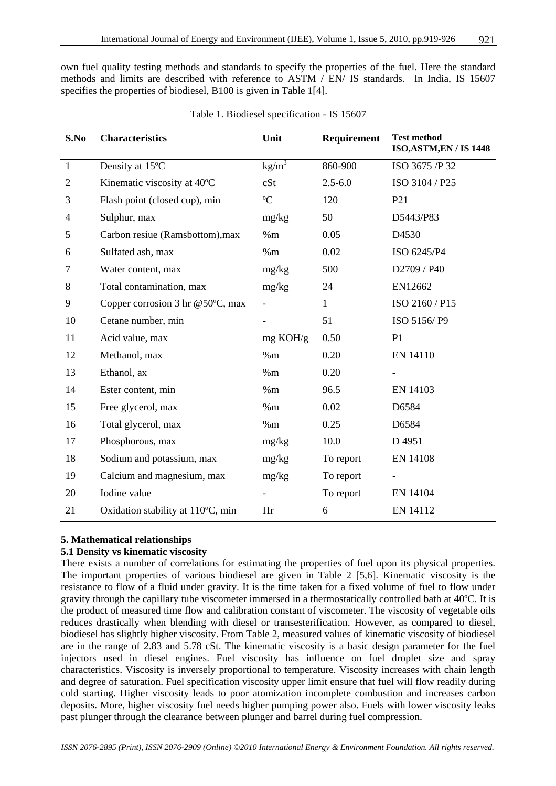own fuel quality testing methods and standards to specify the properties of the fuel. Here the standard methods and limits are described with reference to ASTM  $/$  EN $/$  IS standards. In India, IS 15607 specifies the properties of biodiesel, B100 is given in Table 1[4].

| S.No         | <b>Characteristics</b>            | Unit        | <b>Requirement</b> | <b>Test method</b><br><b>ISO, ASTM, EN / IS 1448</b> |
|--------------|-----------------------------------|-------------|--------------------|------------------------------------------------------|
| $\mathbf{1}$ | Density at 15°C                   | $kg/m^3$    | 860-900            | ISO 3675 /P 32                                       |
| $\mathbf{2}$ | Kinematic viscosity at 40°C       | cSt         | $2.5 - 6.0$        | ISO 3104 / P25                                       |
| 3            | Flash point (closed cup), min     | $\rm ^{o}C$ | 120                | P <sub>21</sub>                                      |
| 4            | Sulphur, max                      | mg/kg       | 50                 | D5443/P83                                            |
| 5            | Carbon resiue (Ramsbottom), max   | %m          | 0.05               | D4530                                                |
| 6            | Sulfated ash, max                 | %m          | 0.02               | ISO 6245/P4                                          |
| 7            | Water content, max                | mg/kg       | 500                | D2709 / P40                                          |
| 8            | Total contamination, max          | mg/kg       | 24                 | EN12662                                              |
| 9            | Copper corrosion 3 hr @50°C, max  |             | 1                  | ISO 2160 / P15                                       |
| 10           | Cetane number, min                |             | 51                 | ISO 5156/P9                                          |
| 11           | Acid value, max                   | mg KOH/g    | 0.50               | P <sub>1</sub>                                       |
| 12           | Methanol, max                     | %m          | 0.20               | EN 14110                                             |
| 13           | Ethanol, ax                       | %m          | 0.20               |                                                      |
| 14           | Ester content, min                | %m          | 96.5               | EN 14103                                             |
| 15           | Free glycerol, max                | %m          | 0.02               | D6584                                                |
| 16           | Total glycerol, max               | $\%{\rm m}$ | 0.25               | D6584                                                |
| 17           | Phosphorous, max                  | mg/kg       | 10.0               | D 4951                                               |
| 18           | Sodium and potassium, max         | mg/kg       | To report          | EN 14108                                             |
| 19           | Calcium and magnesium, max        | mg/kg       | To report          |                                                      |
| 20           | Iodine value                      |             | To report          | EN 14104                                             |
| 21           | Oxidation stability at 110°C, min | Hr          | 6                  | EN 14112                                             |

|  |  | Table 1. Biodiesel specification - IS 15607 |  |  |
|--|--|---------------------------------------------|--|--|
|--|--|---------------------------------------------|--|--|

# **5. Mathematical relationships**

# **5.1 Density vs kinematic viscosity**

There exists a number of correlations for estimating the properties of fuel upon its physical properties. The important properties of various biodiesel are given in Table 2 [5,6]. Kinematic viscosity is the resistance to flow of a fluid under gravity. It is the time taken for a fixed volume of fuel to flow under gravity through the capillary tube viscometer immersed in a thermostatically controlled bath at 40ºC. It is the product of measured time flow and calibration constant of viscometer. The viscosity of vegetable oils reduces drastically when blending with diesel or transesterification. However, as compared to diesel, biodiesel has slightly higher viscosity. From Table 2, measured values of kinematic viscosity of biodiesel are in the range of 2.83 and 5.78 cSt. The kinematic viscosity is a basic design parameter for the fuel injectors used in diesel engines. Fuel viscosity has influence on fuel droplet size and spray characteristics. Viscosity is inversely proportional to temperature. Viscosity increases with chain length and degree of saturation. Fuel specification viscosity upper limit ensure that fuel will flow readily during cold starting. Higher viscosity leads to poor atomization incomplete combustion and increases carbon deposits. More, higher viscosity fuel needs higher pumping power also. Fuels with lower viscosity leaks past plunger through the clearance between plunger and barrel during fuel compression.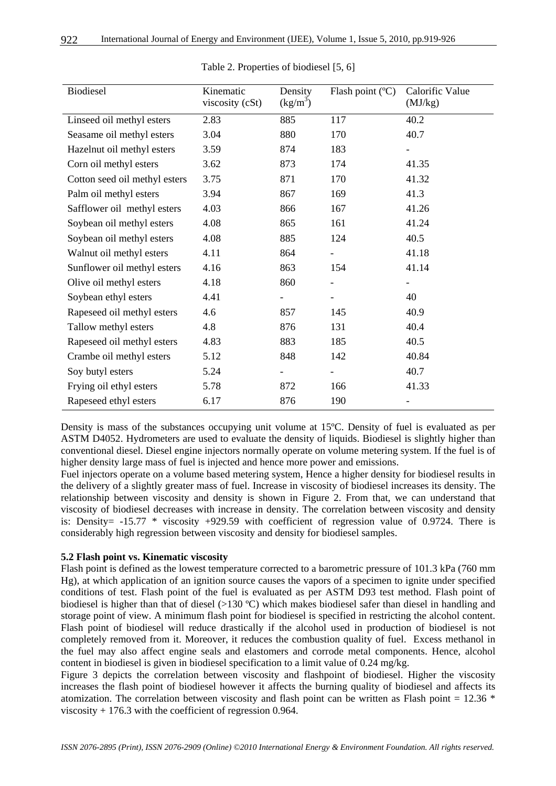| Biodiesel                     | Kinematic<br>viscosity (cSt) | Density<br>$\frac{\text{kg}}{\text{m}^3}$ | Flash point (°C)         | Calorific Value<br>(MJ/kg) |
|-------------------------------|------------------------------|-------------------------------------------|--------------------------|----------------------------|
| Linseed oil methyl esters     | 2.83                         | 885                                       | 117                      | 40.2                       |
| Seasame oil methyl esters     | 3.04                         | 880                                       | 170                      | 40.7                       |
| Hazelnut oil methyl esters    | 3.59                         | 874                                       | 183                      |                            |
| Corn oil methyl esters        | 3.62                         | 873                                       | 174                      | 41.35                      |
| Cotton seed oil methyl esters | 3.75                         | 871                                       | 170                      | 41.32                      |
| Palm oil methyl esters        | 3.94                         | 867                                       | 169                      | 41.3                       |
| Safflower oil methyl esters   | 4.03                         | 866                                       | 167                      | 41.26                      |
| Soybean oil methyl esters     | 4.08                         | 865                                       | 161                      | 41.24                      |
| Soybean oil methyl esters     | 4.08                         | 885                                       | 124                      | 40.5                       |
| Walnut oil methyl esters      | 4.11                         | 864                                       |                          | 41.18                      |
| Sunflower oil methyl esters   | 4.16                         | 863                                       | 154                      | 41.14                      |
| Olive oil methyl esters       | 4.18                         | 860                                       |                          |                            |
| Soybean ethyl esters          | 4.41                         |                                           |                          | 40                         |
| Rapeseed oil methyl esters    | 4.6                          | 857                                       | 145                      | 40.9                       |
| Tallow methyl esters          | 4.8                          | 876                                       | 131                      | 40.4                       |
| Rapeseed oil methyl esters    | 4.83                         | 883                                       | 185                      | 40.5                       |
| Crambe oil methyl esters      | 5.12                         | 848                                       | 142                      | 40.84                      |
| Soy butyl esters              | 5.24                         |                                           | $\overline{\phantom{a}}$ | 40.7                       |
| Frying oil ethyl esters       | 5.78                         | 872                                       | 166                      | 41.33                      |
| Rapeseed ethyl esters         | 6.17                         | 876                                       | 190                      |                            |

Table 2. Properties of biodiesel [5, 6]

Density is mass of the substances occupying unit volume at 15ºC. Density of fuel is evaluated as per ASTM D4052. Hydrometers are used to evaluate the density of liquids. Biodiesel is slightly higher than conventional diesel. Diesel engine injectors normally operate on volume metering system. If the fuel is of higher density large mass of fuel is injected and hence more power and emissions.

Fuel injectors operate on a volume based metering system, Hence a higher density for biodiesel results in the delivery of a slightly greater mass of fuel. Increase in viscosity of biodiesel increases its density. The relationship between viscosity and density is shown in Figure 2. From that, we can understand that viscosity of biodiesel decreases with increase in density. The correlation between viscosity and density is: Density  $= -15.77$  \* viscosity  $+929.59$  with coefficient of regression value of 0.9724. There is considerably high regression between viscosity and density for biodiesel samples.

# **5.2 Flash point vs. Kinematic viscosity**

Flash point is defined as the lowest temperature corrected to a barometric pressure of 101.3 kPa (760 mm Hg), at which application of an ignition source causes the vapors of a specimen to ignite under specified conditions of test. Flash point of the fuel is evaluated as per ASTM D93 test method. Flash point of biodiesel is higher than that of diesel (>130 ºC) which makes biodiesel safer than diesel in handling and storage point of view. A minimum flash point for biodiesel is specified in restricting the alcohol content. Flash point of biodiesel will reduce drastically if the alcohol used in production of biodiesel is not completely removed from it. Moreover, it reduces the combustion quality of fuel. Excess methanol in the fuel may also affect engine seals and elastomers and corrode metal components. Hence, alcohol content in biodiesel is given in biodiesel specification to a limit value of 0.24 mg/kg.

Figure 3 depicts the correlation between viscosity and flashpoint of biodiesel. Higher the viscosity increases the flash point of biodiesel however it affects the burning quality of biodiesel and affects its atomization. The correlation between viscosity and flash point can be written as Flash point =  $12.36$  \* viscosity + 176.3 with the coefficient of regression 0.964.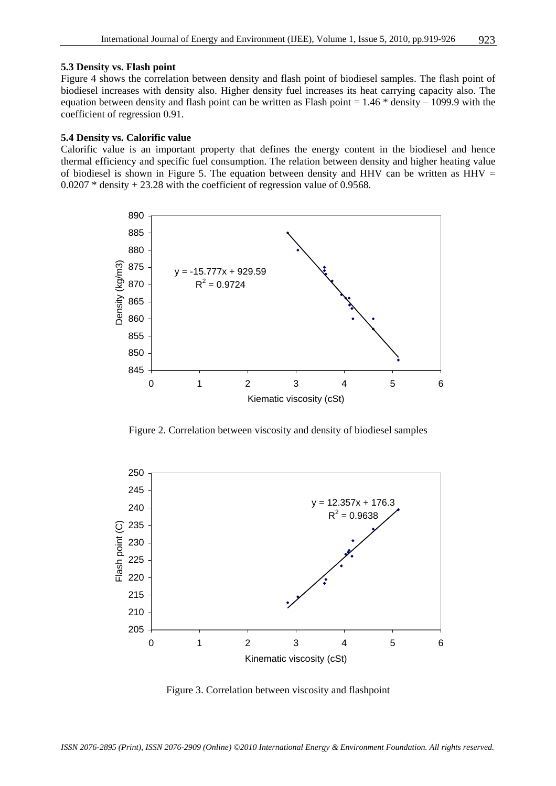#### **5.3 Density vs. Flash point**

Figure 4 shows the correlation between density and flash point of biodiesel samples. The flash point of biodiesel increases with density also. Higher density fuel increases its heat carrying capacity also. The equation between density and flash point can be written as Flash point  $= 1.46 *$  density  $- 1099.9$  with the coefficient of regression 0.91.

#### **5.4 Density vs. Calorific value**

Calorific value is an important property that defines the energy content in the biodiesel and hence thermal efficiency and specific fuel consumption. The relation between density and higher heating value of biodiesel is shown in Figure 5. The equation between density and HHV can be written as HHV  $=$ 0.0207 \* density + 23.28 with the coefficient of regression value of 0.9568.



Figure 2. Correlation between viscosity and density of biodiesel samples



Figure 3. Correlation between viscosity and flashpoint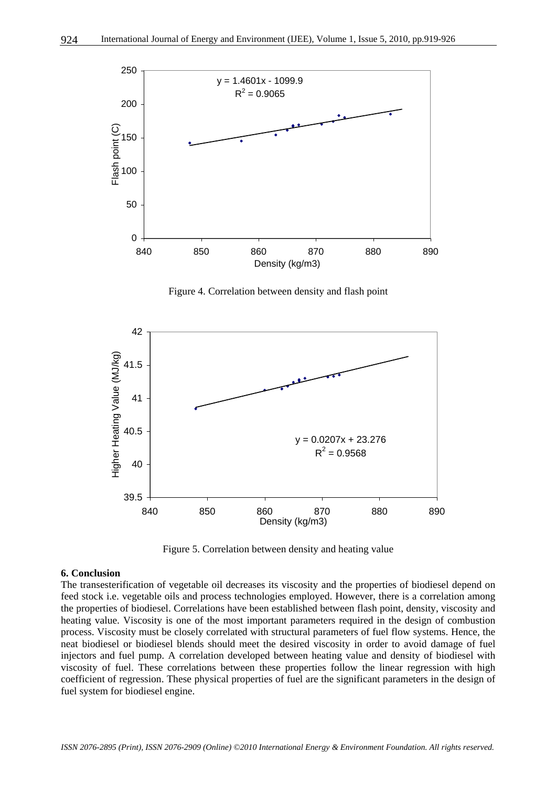

Figure 4. Correlation between density and flash point



Figure 5. Correlation between density and heating value

#### **6. Conclusion**

The transesterification of vegetable oil decreases its viscosity and the properties of biodiesel depend on feed stock i.e. vegetable oils and process technologies employed. However, there is a correlation among the properties of biodiesel. Correlations have been established between flash point, density, viscosity and heating value. Viscosity is one of the most important parameters required in the design of combustion process. Viscosity must be closely correlated with structural parameters of fuel flow systems. Hence, the neat biodiesel or biodiesel blends should meet the desired viscosity in order to avoid damage of fuel injectors and fuel pump. A correlation developed between heating value and density of biodiesel with viscosity of fuel. These correlations between these properties follow the linear regression with high coefficient of regression. These physical properties of fuel are the significant parameters in the design of fuel system for biodiesel engine.